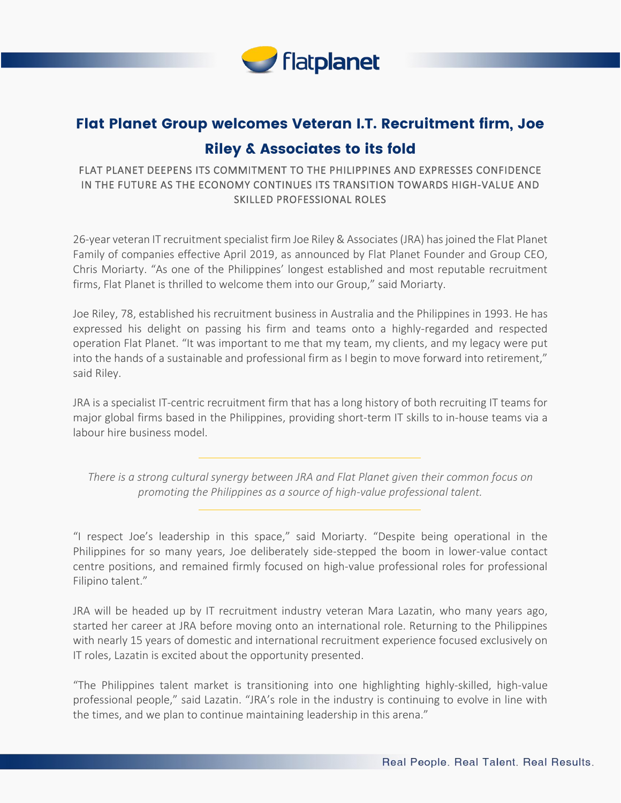

## Flat Planet Group welcomes Veteran I.T. Recruitment firm, Joe Riley & Associates to its fold

## FLAT PLANET DEEPENS ITS COMMITMENT TO THE PHILIPPINES AND EXPRESSES CONFIDENCE IN THE FUTURE AS THE ECONOMY CONTINUES ITS TRANSITION TOWARDS HIGH-VALUE AND SKILLED PROFESSIONAL ROLES

26-year veteran IT recruitment specialist firm Joe Riley & Associates (JRA) has joined the Flat Planet Family of companies effective April 2019, as announced by Flat Planet Founder and Group CEO, Chris Moriarty. "As one of the Philippines' longest established and most reputable recruitment firms, Flat Planet is thrilled to welcome them into our Group," said Moriarty.

Joe Riley, 78, established his recruitment business in Australia and the Philippines in 1993. He has expressed his delight on passing his firm and teams onto a highly-regarded and respected operation Flat Planet. "It was important to me that my team, my clients, and my legacy were put into the hands of a sustainable and professional firm as I begin to move forward into retirement," said Riley.

JRA is a specialist IT-centric recruitment firm that has a long history of both recruiting IT teams for major global firms based in the Philippines, providing short-term IT skills to in-house teams via a labour hire business model.

*There is a strong cultural synergy between JRA and Flat Planet given their common focus on promoting the Philippines as a source of high-value professional talent.*

"I respect Joe's leadership in this space," said Moriarty. "Despite being operational in the Philippines for so many years, Joe deliberately side-stepped the boom in lower-value contact centre positions, and remained firmly focused on high-value professional roles for professional Filipino talent."

JRA will be headed up by IT recruitment industry veteran Mara Lazatin, who many years ago, started her career at JRA before moving onto an international role. Returning to the Philippines with nearly 15 years of domestic and international recruitment experience focused exclusively on IT roles, Lazatin is excited about the opportunity presented.

"The Philippines talent market is transitioning into one highlighting highly-skilled, high-value professional people," said Lazatin. "JRA's role in the industry is continuing to evolve in line with the times, and we plan to continue maintaining leadership in this arena."